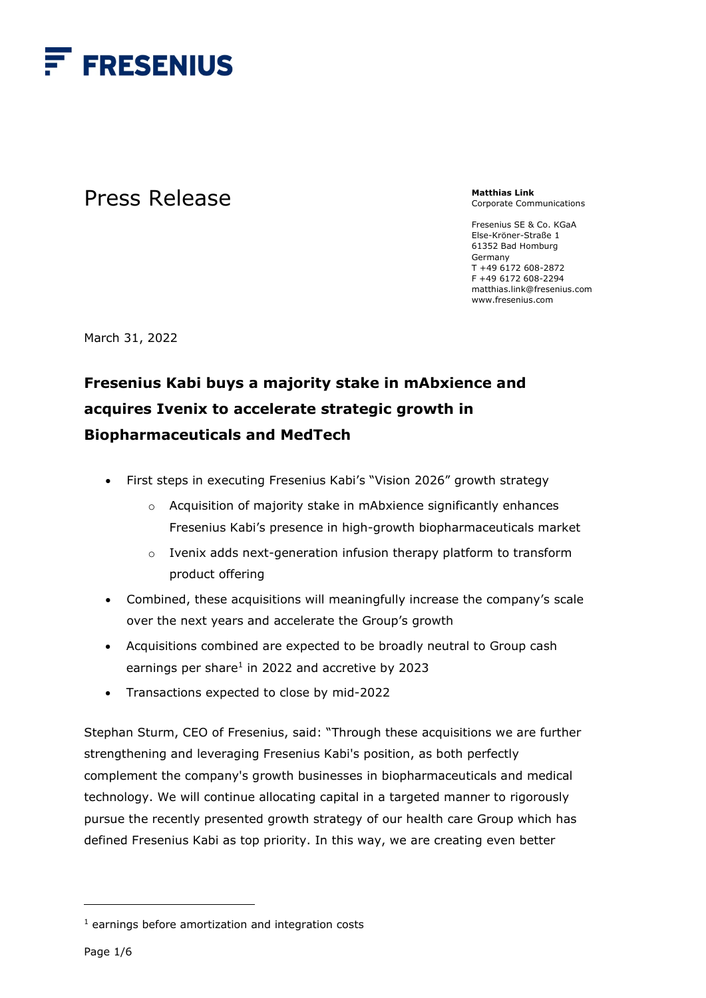

# Press Release

**Matthias Link**  Corporate Communications

Fresenius SE & Co. KGaA Else-Kröner-Straße 1 61352 Bad Homburg Germany T +49 6172 608-2872 F +49 6172 608-2294 matthias.link@fresenius.com www.fresenius.com

March 31, 2022

# **Fresenius Kabi buys a majority stake in mAbxience and acquires Ivenix to accelerate strategic growth in Biopharmaceuticals and MedTech**

- First steps in executing Fresenius Kabi's "Vision 2026" growth strategy
	- o Acquisition of majority stake in mAbxience significantly enhances Fresenius Kabi's presence in high-growth biopharmaceuticals market
	- o Ivenix adds next-generation infusion therapy platform to transform product offering
- Combined, these acquisitions will meaningfully increase the company's scale over the next years and accelerate the Group's growth
- Acquisitions combined are expected to be broadly neutral to Group cash earnings per share $1$  in 2022 and accretive by 2023
- Transactions expected to close by mid-2022

Stephan Sturm, CEO of Fresenius, said: "Through these acquisitions we are further strengthening and leveraging Fresenius Kabi's position, as both perfectly complement the company's growth businesses in biopharmaceuticals and medical technology. We will continue allocating capital in a targeted manner to rigorously pursue the recently presented growth strategy of our health care Group which has defined Fresenius Kabi as top priority. In this way, we are creating even better

<sup>1</sup> earnings before amortization and integration costs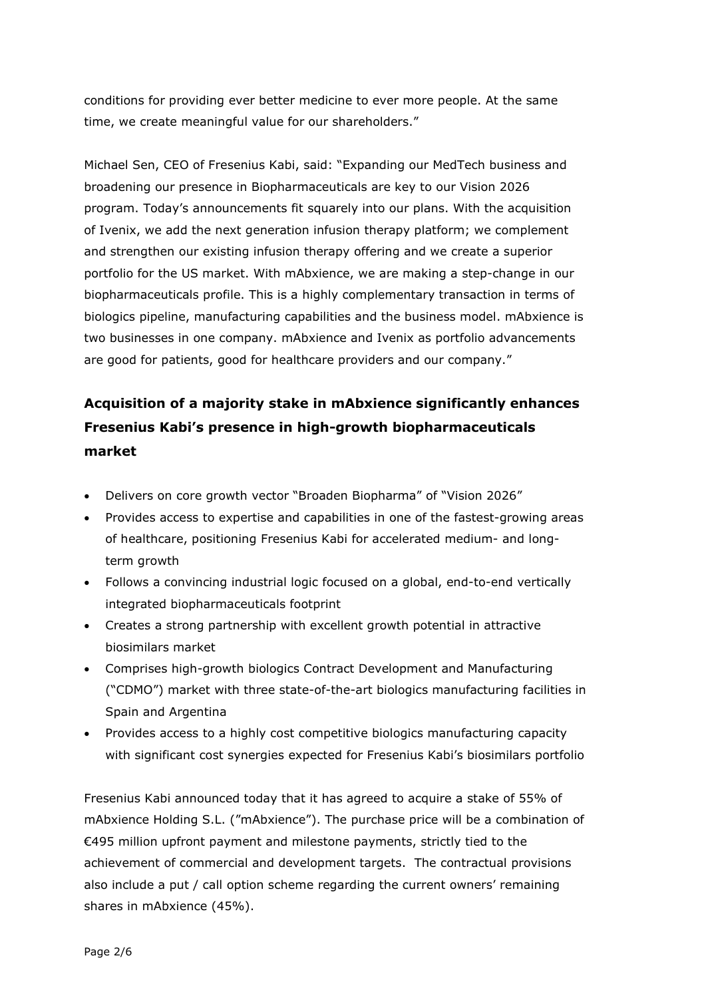conditions for providing ever better medicine to ever more people. At the same time, we create meaningful value for our shareholders."

Michael Sen, CEO of Fresenius Kabi, said: "Expanding our MedTech business and broadening our presence in Biopharmaceuticals are key to our Vision 2026 program. Today's announcements fit squarely into our plans. With the acquisition of Ivenix, we add the next generation infusion therapy platform; we complement and strengthen our existing infusion therapy offering and we create a superior portfolio for the US market. With mAbxience, we are making a step-change in our biopharmaceuticals profile. This is a highly complementary transaction in terms of biologics pipeline, manufacturing capabilities and the business model. mAbxience is two businesses in one company. mAbxience and Ivenix as portfolio advancements are good for patients, good for healthcare providers and our company."

## **Acquisition of a majority stake in mAbxience significantly enhances Fresenius Kabi's presence in high-growth biopharmaceuticals market**

- Delivers on core growth vector "Broaden Biopharma" of "Vision 2026"
- Provides access to expertise and capabilities in one of the fastest-growing areas of healthcare, positioning Fresenius Kabi for accelerated medium- and longterm growth
- Follows a convincing industrial logic focused on a global, end-to-end vertically integrated biopharmaceuticals footprint
- Creates a strong partnership with excellent growth potential in attractive biosimilars market
- Comprises high-growth biologics Contract Development and Manufacturing ("CDMO") market with three state-of-the-art biologics manufacturing facilities in Spain and Argentina
- Provides access to a highly cost competitive biologics manufacturing capacity with significant cost synergies expected for Fresenius Kabi's biosimilars portfolio

Fresenius Kabi announced today that it has agreed to acquire a stake of 55% of mAbxience Holding S.L. ("mAbxience"). The purchase price will be a combination of €495 million upfront payment and milestone payments, strictly tied to the achievement of commercial and development targets. The contractual provisions also include a put / call option scheme regarding the current owners' remaining shares in mAbxience (45%).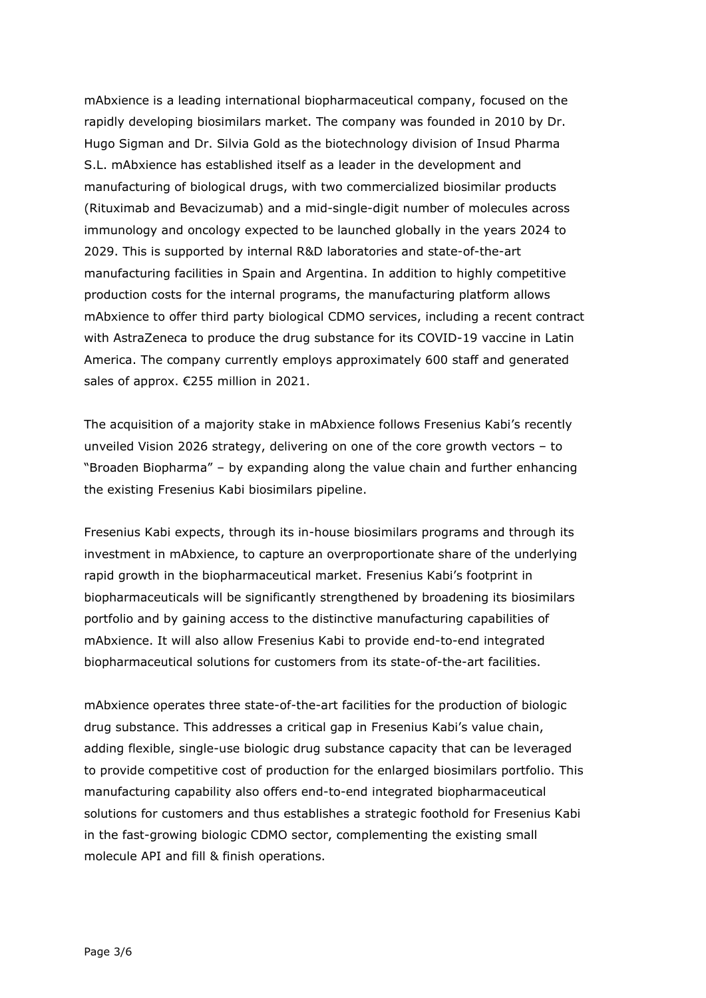mAbxience is a leading international biopharmaceutical company, focused on the rapidly developing biosimilars market. The company was founded in 2010 by Dr. Hugo Sigman and Dr. Silvia Gold as the biotechnology division of Insud Pharma S.L. mAbxience has established itself as a leader in the development and manufacturing of biological drugs, with two commercialized biosimilar products (Rituximab and Bevacizumab) and a mid-single-digit number of molecules across immunology and oncology expected to be launched globally in the years 2024 to 2029. This is supported by internal R&D laboratories and state-of-the-art manufacturing facilities in Spain and Argentina. In addition to highly competitive production costs for the internal programs, the manufacturing platform allows mAbxience to offer third party biological CDMO services, including a recent contract with AstraZeneca to produce the drug substance for its COVID-19 vaccine in Latin America. The company currently employs approximately 600 staff and generated sales of approx. €255 million in 2021.

The acquisition of a majority stake in mAbxience follows Fresenius Kabi's recently unveiled Vision 2026 strategy, delivering on one of the core growth vectors – to "Broaden Biopharma" – by expanding along the value chain and further enhancing the existing Fresenius Kabi biosimilars pipeline.

Fresenius Kabi expects, through its in-house biosimilars programs and through its investment in mAbxience, to capture an overproportionate share of the underlying rapid growth in the biopharmaceutical market. Fresenius Kabi's footprint in biopharmaceuticals will be significantly strengthened by broadening its biosimilars portfolio and by gaining access to the distinctive manufacturing capabilities of mAbxience. It will also allow Fresenius Kabi to provide end-to-end integrated biopharmaceutical solutions for customers from its state-of-the-art facilities.

mAbxience operates three state-of-the-art facilities for the production of biologic drug substance. This addresses a critical gap in Fresenius Kabi's value chain, adding flexible, single-use biologic drug substance capacity that can be leveraged to provide competitive cost of production for the enlarged biosimilars portfolio. This manufacturing capability also offers end-to-end integrated biopharmaceutical solutions for customers and thus establishes a strategic foothold for Fresenius Kabi in the fast-growing biologic CDMO sector, complementing the existing small molecule API and fill & finish operations.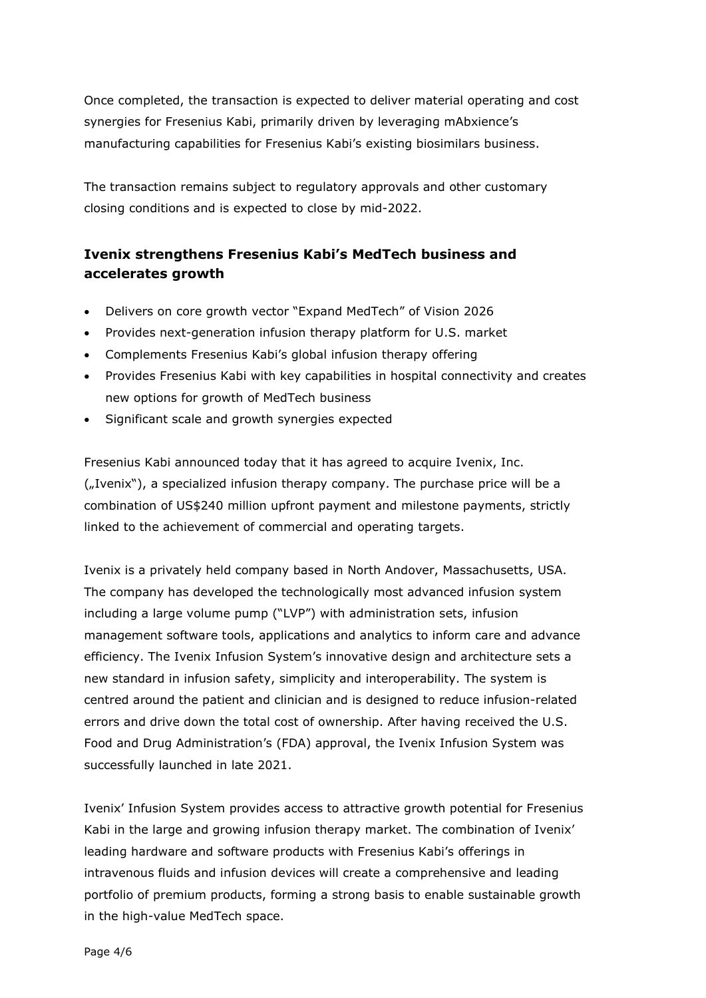Once completed, the transaction is expected to deliver material operating and cost synergies for Fresenius Kabi, primarily driven by leveraging mAbxience's manufacturing capabilities for Fresenius Kabi's existing biosimilars business.

The transaction remains subject to regulatory approvals and other customary closing conditions and is expected to close by mid-2022.

## **Ivenix strengthens Fresenius Kabi's MedTech business and accelerates growth**

- Delivers on core growth vector "Expand MedTech" of Vision 2026
- Provides next-generation infusion therapy platform for U.S. market
- Complements Fresenius Kabi's global infusion therapy offering
- Provides Fresenius Kabi with key capabilities in hospital connectivity and creates new options for growth of MedTech business
- Significant scale and growth synergies expected

Fresenius Kabi announced today that it has agreed to acquire Ivenix, Inc. ("Ivenix"), a specialized infusion therapy company. The purchase price will be a combination of US\$240 million upfront payment and milestone payments, strictly linked to the achievement of commercial and operating targets.

Ivenix is a privately held company based in North Andover, Massachusetts, USA. The company has developed the technologically most advanced infusion system including a large volume pump ("LVP") with administration sets, infusion management software tools, applications and analytics to inform care and advance efficiency. The Ivenix Infusion System's innovative design and architecture sets a new standard in infusion safety, simplicity and interoperability. The system is centred around the patient and clinician and is designed to reduce infusion-related errors and drive down the total cost of ownership. After having received the U.S. Food and Drug Administration's (FDA) approval, the Ivenix Infusion System was successfully launched in late 2021.

Ivenix' Infusion System provides access to attractive growth potential for Fresenius Kabi in the large and growing infusion therapy market. The combination of Ivenix' leading hardware and software products with Fresenius Kabi's offerings in intravenous fluids and infusion devices will create a comprehensive and leading portfolio of premium products, forming a strong basis to enable sustainable growth in the high-value MedTech space.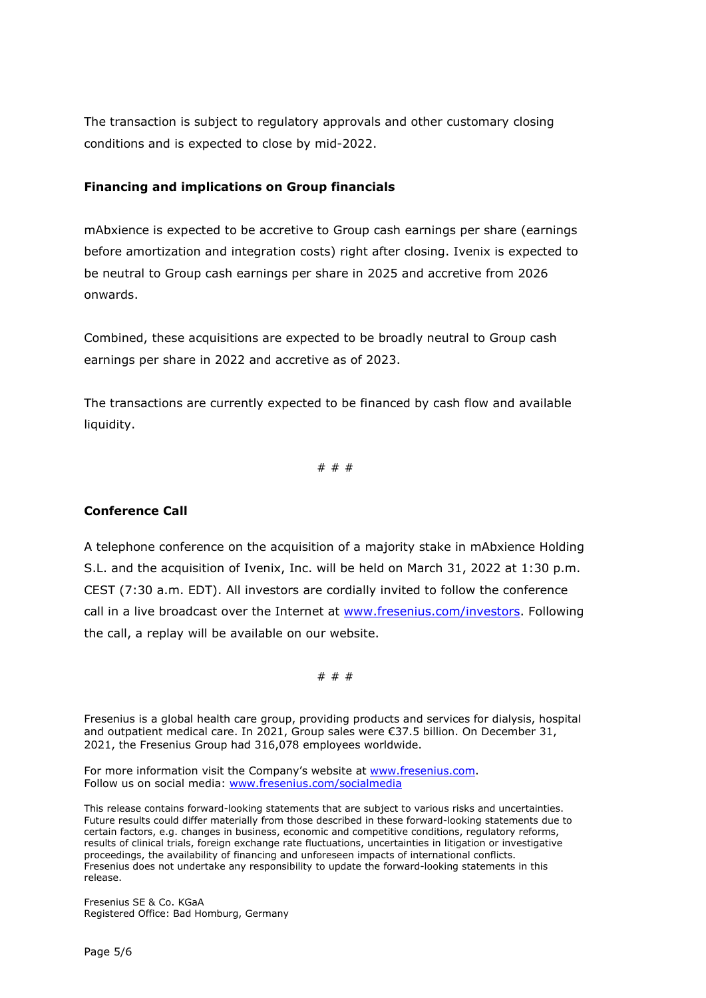The transaction is subject to regulatory approvals and other customary closing conditions and is expected to close by mid-2022.

### **Financing and implications on Group financials**

mAbxience is expected to be accretive to Group cash earnings per share (earnings before amortization and integration costs) right after closing. Ivenix is expected to be neutral to Group cash earnings per share in 2025 and accretive from 2026 onwards.

Combined, these acquisitions are expected to be broadly neutral to Group cash earnings per share in 2022 and accretive as of 2023.

The transactions are currently expected to be financed by cash flow and available liquidity.

# # #

### **Conference Call**

A telephone conference on the acquisition of a majority stake in mAbxience Holding S.L. and the acquisition of Ivenix, Inc. will be held on March 31, 2022 at 1:30 p.m. CEST (7:30 a.m. EDT). All investors are cordially invited to follow the conference call in a live broadcast over the Internet at [www.fresenius.com/investors.](http://www.fresenius.com/investors) Following the call, a replay will be available on our website.

# # #

Fresenius is a global health care group, providing products and services for dialysis, hospital and outpatient medical care. In 2021, Group sales were €37.5 billion. On December 31, 2021, the Fresenius Group had 316,078 employees worldwide.

For more information visit the Company's website at [www.fresenius.com.](http://www.fresenius.com/) Follow us on social media: [www.fresenius.com/socialmedia](http://www.fresenius.com/socialmedia)

This release contains forward-looking statements that are subject to various risks and uncertainties. Future results could differ materially from those described in these forward-looking statements due to certain factors, e.g. changes in business, economic and competitive conditions, regulatory reforms, results of clinical trials, foreign exchange rate fluctuations, uncertainties in litigation or investigative proceedings, the availability of financing and unforeseen impacts of international conflicts. Fresenius does not undertake any responsibility to update the forward-looking statements in this release.

Fresenius SE & Co. KGaA Registered Office: Bad Homburg, Germany